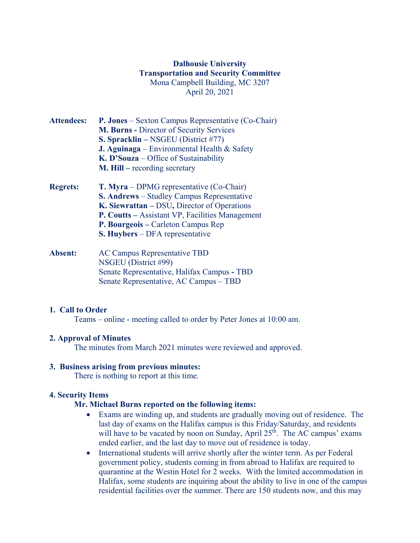## **Dalhousie University Transportation and Security Committee** Mona Campbell Building, MC 3207 April 20, 2021

- **Attendees: P. Jones** Sexton Campus Representative (Co-Chair) **M. Burns -** Director of Security Services **S. Spracklin –** NSGEU (District #77) **J. Aguinaga** – Environmental Health & Safety **K. D'Souza** – Office of Sustainability **M. Hill –** recording secretary **Regrets: T. Myra** – DPMG representative (Co-Chair) **S. Andrews** – Studley Campus Representative
- **K. Siewrattan –** DSU**,** Director of Operations **P. Coutts –** Assistant VP, Facilities Management **P. Bourgeois –** Carleton Campus Rep **S. Huybers** – DFA representative **Absent:** AC Campus Representative TBD
- NSGEU (District #99) Senate Representative, Halifax Campus **-** TBD Senate Representative, AC Campus – TBD

#### **1. Call to Order**

Teams – online - meeting called to order by Peter Jones at 10:00 am.

## **2. Approval of Minutes**

The minutes from March 2021 minutes were reviewed and approved.

## **3. Business arising from previous minutes:**

There is nothing to report at this time.

## **4. Security Items**

## **Mr. Michael Burns reported on the following items:**

- Exams are winding up, and students are gradually moving out of residence. The last day of exams on the Halifax campus is this Friday/Saturday, and residents will have to be vacated by noon on Sunday, April  $25<sup>th</sup>$ . The AC campus' exams ended earlier, and the last day to move out of residence is today.
- International students will arrive shortly after the winter term. As per Federal government policy, students coming in from abroad to Halifax are required to quarantine at the Westin Hotel for 2 weeks. With the limited accommodation in Halifax, some students are inquiring about the ability to live in one of the campus residential facilities over the summer. There are 150 students now, and this may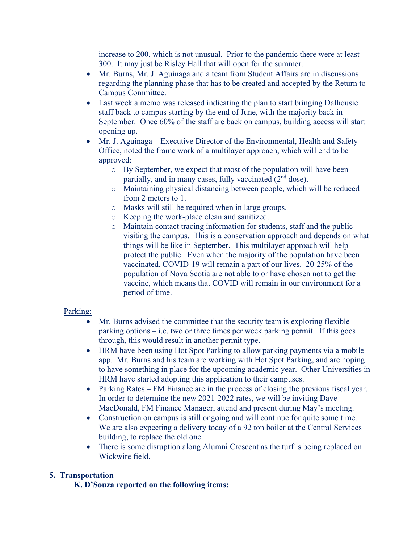increase to 200, which is not unusual. Prior to the pandemic there were at least 300. It may just be Risley Hall that will open for the summer.

- Mr. Burns, Mr. J. Aguinaga and a team from Student Affairs are in discussions regarding the planning phase that has to be created and accepted by the Return to Campus Committee.
- Last week a memo was released indicating the plan to start bringing Dalhousie staff back to campus starting by the end of June, with the majority back in September. Once 60% of the staff are back on campus, building access will start opening up.
- Mr. J. Aguinaga Executive Director of the Environmental, Health and Safety Office, noted the frame work of a multilayer approach, which will end to be approved:
	- o By September, we expect that most of the population will have been partially, and in many cases, fully vaccinated  $(2<sup>nd</sup>$  dose).
	- o Maintaining physical distancing between people, which will be reduced from 2 meters to 1.
	- o Masks will still be required when in large groups.
	- o Keeping the work-place clean and sanitized..
	- o Maintain contact tracing information for students, staff and the public visiting the campus. This is a conservation approach and depends on what things will be like in September. This multilayer approach will help protect the public. Even when the majority of the population have been vaccinated, COVID-19 will remain a part of our lives. 20-25% of the population of Nova Scotia are not able to or have chosen not to get the vaccine, which means that COVID will remain in our environment for a period of time.

## Parking:

- Mr. Burns advised the committee that the security team is exploring flexible parking options – i.e. two or three times per week parking permit. If this goes through, this would result in another permit type.
- HRM have been using Hot Spot Parking to allow parking payments via a mobile app. Mr. Burns and his team are working with Hot Spot Parking, and are hoping to have something in place for the upcoming academic year. Other Universities in HRM have started adopting this application to their campuses.
- Parking Rates FM Finance are in the process of closing the previous fiscal year. In order to determine the new 2021-2022 rates, we will be inviting Dave MacDonald, FM Finance Manager, attend and present during May's meeting.
- Construction on campus is still ongoing and will continue for quite some time. We are also expecting a delivery today of a 92 ton boiler at the Central Services building, to replace the old one.
- There is some disruption along Alumni Crescent as the turf is being replaced on Wickwire field.

# **5. Transportation**

**K. D'Souza reported on the following items:**